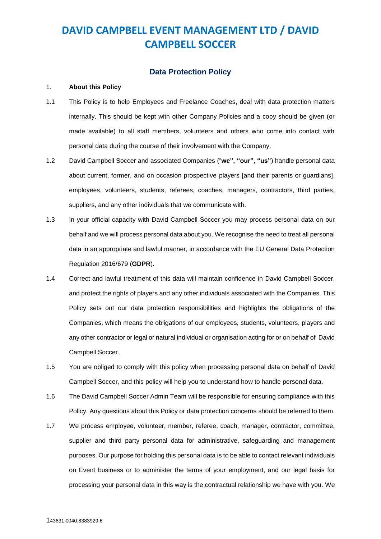## **Data Protection Policy**

### 1. **About this Policy**

- 1.1 This Policy is to help Employees and Freelance Coaches, deal with data protection matters internally. This should be kept with other Company Policies and a copy should be given (or made available) to all staff members, volunteers and others who come into contact with personal data during the course of their involvement with the Company.
- 1.2 David Campbell Soccer and associated Companies ("**we", "our", "us"**) handle personal data about current, former, and on occasion prospective players [and their parents or guardians], employees, volunteers, students, referees, coaches, managers, contractors, third parties, suppliers, and any other individuals that we communicate with.
- 1.3 In your official capacity with David Campbell Soccer you may process personal data on our behalf and we will process personal data about you. We recognise the need to treat all personal data in an appropriate and lawful manner, in accordance with the EU General Data Protection Regulation 2016/679 (**GDPR**).
- 1.4 Correct and lawful treatment of this data will maintain confidence in David Campbell Soccer, and protect the rights of players and any other individuals associated with the Companies. This Policy sets out our data protection responsibilities and highlights the obligations of the Companies, which means the obligations of our employees, students, volunteers, players and any other contractor or legal or natural individual or organisation acting for or on behalf of David Campbell Soccer.
- 1.5 You are obliged to comply with this policy when processing personal data on behalf of David Campbell Soccer, and this policy will help you to understand how to handle personal data.
- 1.6 The David Campbell Soccer Admin Team will be responsible for ensuring compliance with this Policy. Any questions about this Policy or data protection concerns should be referred to them.
- 1.7 We process employee, volunteer, member, referee, coach, manager, contractor, committee, supplier and third party personal data for administrative, safeguarding and management purposes. Our purpose for holding this personal data is to be able to contact relevant individuals on Event business or to administer the terms of your employment, and our legal basis for processing your personal data in this way is the contractual relationship we have with you. We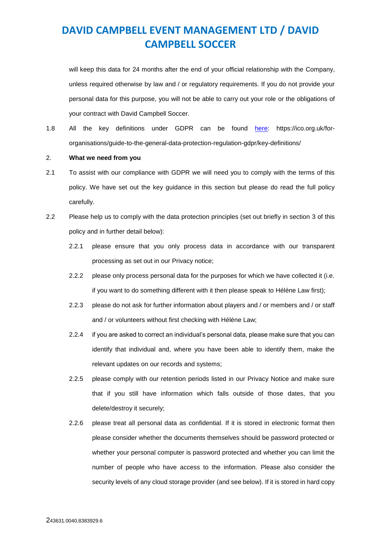will keep this data for 24 months after the end of your official relationship with the Company, unless required otherwise by law and / or regulatory requirements. If you do not provide your personal data for this purpose, you will not be able to carry out your role or the obligations of your contract with David Campbell Soccer.

1.8 All the key definitions under GDPR can be found [here:](https://ico.org.uk/for-organisations/guide-to-the-general-data-protection-regulation-gdpr/key-definitions/) https://ico.org.uk/fororganisations/guide-to-the-general-data-protection-regulation-gdpr/key-definitions/

### 2. **What we need from you**

- 2.1 To assist with our compliance with GDPR we will need you to comply with the terms of this policy. We have set out the key guidance in this section but please do read the full policy carefully.
- 2.2 Please help us to comply with the data protection principles (set out briefly in section [3](#page-2-0) of this policy and in further detail below):
	- 2.2.1 please ensure that you only process data in accordance with our transparent processing as set out in our Privacy notice;
	- 2.2.2 please only process personal data for the purposes for which we have collected it (i.e. if you want to do something different with it then please speak to Hélène Law first);
	- 2.2.3 please do not ask for further information about players and / or members and / or staff and / or volunteers without first checking with Hélène Law;
	- 2.2.4 if you are asked to correct an individual's personal data, please make sure that you can identify that individual and, where you have been able to identify them, make the relevant updates on our records and systems;
	- 2.2.5 please comply with our retention periods listed in our Privacy Notice and make sure that if you still have information which falls outside of those dates, that you delete/destroy it securely;
	- 2.2.6 please treat all personal data as confidential. If it is stored in electronic format then please consider whether the documents themselves should be password protected or whether your personal computer is password protected and whether you can limit the number of people who have access to the information. Please also consider the security levels of any cloud storage provider (and see below). If it is stored in hard copy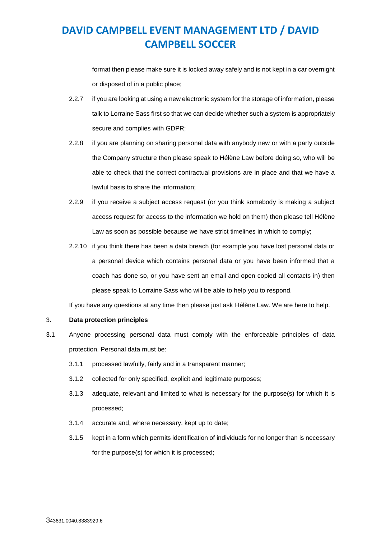format then please make sure it is locked away safely and is not kept in a car overnight or disposed of in a public place;

- 2.2.7 if you are looking at using a new electronic system for the storage of information, please talk to Lorraine Sass first so that we can decide whether such a system is appropriately secure and complies with GDPR;
- 2.2.8 if you are planning on sharing personal data with anybody new or with a party outside the Company structure then please speak to Hélène Law before doing so, who will be able to check that the correct contractual provisions are in place and that we have a lawful basis to share the information;
- 2.2.9 if you receive a subject access request (or you think somebody is making a subject access request for access to the information we hold on them) then please tell Hélène Law as soon as possible because we have strict timelines in which to comply;
- 2.2.10 if you think there has been a data breach (for example you have lost personal data or a personal device which contains personal data or you have been informed that a coach has done so, or you have sent an email and open copied all contacts in) then please speak to Lorraine Sass who will be able to help you to respond.

If you have any questions at any time then please just ask Hélène Law. We are here to help.

## <span id="page-2-0"></span>3. **Data protection principles**

- 3.1 Anyone processing personal data must comply with the enforceable principles of data protection. Personal data must be:
	- 3.1.1 processed lawfully, fairly and in a transparent manner;
	- 3.1.2 collected for only specified, explicit and legitimate purposes;
	- 3.1.3 adequate, relevant and limited to what is necessary for the purpose(s) for which it is processed;
	- 3.1.4 accurate and, where necessary, kept up to date;
	- 3.1.5 kept in a form which permits identification of individuals for no longer than is necessary for the purpose(s) for which it is processed;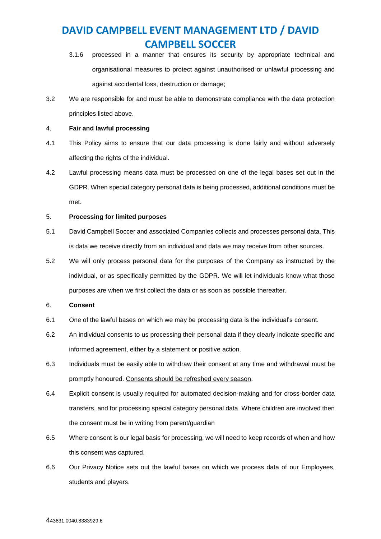- 3.1.6 processed in a manner that ensures its security by appropriate technical and organisational measures to protect against unauthorised or unlawful processing and against accidental loss, destruction or damage;
- 3.2 We are responsible for and must be able to demonstrate compliance with the data protection principles listed above.

### 4. **Fair and lawful processing**

- 4.1 This Policy aims to ensure that our data processing is done fairly and without adversely affecting the rights of the individual.
- 4.2 Lawful processing means data must be processed on one of the legal bases set out in the GDPR. When special category personal data is being processed, additional conditions must be met.

## 5. **Processing for limited purposes**

- 5.1 David Campbell Soccer and associated Companies collects and processes personal data. This is data we receive directly from an individual and data we may receive from other sources.
- 5.2 We will only process personal data for the purposes of the Company as instructed by the individual, or as specifically permitted by the GDPR. We will let individuals know what those purposes are when we first collect the data or as soon as possible thereafter.

## 6. **Consent**

- 6.1 One of the lawful bases on which we may be processing data is the individual's consent.
- 6.2 An individual consents to us processing their personal data if they clearly indicate specific and informed agreement, either by a statement or positive action.
- 6.3 Individuals must be easily able to withdraw their consent at any time and withdrawal must be promptly honoured. Consents should be refreshed every season.
- 6.4 Explicit consent is usually required for automated decision-making and for cross-border data transfers, and for processing special category personal data. Where children are involved then the consent must be in writing from parent/guardian
- 6.5 Where consent is our legal basis for processing, we will need to keep records of when and how this consent was captured.
- 6.6 Our Privacy Notice sets out the lawful bases on which we process data of our Employees, students and players.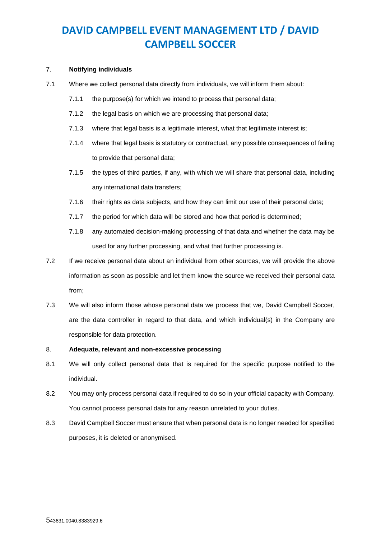### 7. **Notifying individuals**

- 7.1 Where we collect personal data directly from individuals, we will inform them about:
	- 7.1.1 the purpose(s) for which we intend to process that personal data;
	- 7.1.2 the legal basis on which we are processing that personal data;
	- 7.1.3 where that legal basis is a legitimate interest, what that legitimate interest is;
	- 7.1.4 where that legal basis is statutory or contractual, any possible consequences of failing to provide that personal data;
	- 7.1.5 the types of third parties, if any, with which we will share that personal data, including any international data transfers;
	- 7.1.6 their rights as data subjects, and how they can limit our use of their personal data;
	- 7.1.7 the period for which data will be stored and how that period is determined;
	- 7.1.8 any automated decision-making processing of that data and whether the data may be used for any further processing, and what that further processing is.
- 7.2 If we receive personal data about an individual from other sources, we will provide the above information as soon as possible and let them know the source we received their personal data from;
- 7.3 We will also inform those whose personal data we process that we, David Campbell Soccer, are the data controller in regard to that data, and which individual(s) in the Company are responsible for data protection.

## 8. **Adequate, relevant and non-excessive processing**

- 8.1 We will only collect personal data that is required for the specific purpose notified to the individual.
- 8.2 You may only process personal data if required to do so in your official capacity with Company. You cannot process personal data for any reason unrelated to your duties.
- 8.3 David Campbell Soccer must ensure that when personal data is no longer needed for specified purposes, it is deleted or anonymised.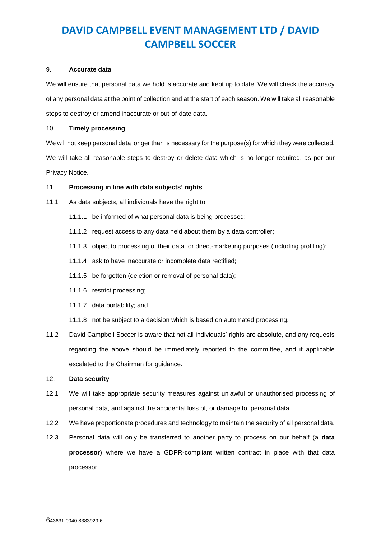### 9. **Accurate data**

We will ensure that personal data we hold is accurate and kept up to date. We will check the accuracy of any personal data at the point of collection and at the start of each season. We will take all reasonable steps to destroy or amend inaccurate or out-of-date data.

### 10. **Timely processing**

We will not keep personal data longer than is necessary for the purpose(s) for which they were collected. We will take all reasonable steps to destroy or delete data which is no longer required, as per our Privacy Notice.

## 11. **Processing in line with data subjects' rights**

- 11.1 As data subjects, all individuals have the right to:
	- 11.1.1 be informed of what personal data is being processed;
	- 11.1.2 request access to any data held about them by a data controller;
	- 11.1.3 object to processing of their data for direct-marketing purposes (including profiling);
	- 11.1.4 ask to have inaccurate or incomplete data rectified;
	- 11.1.5 be forgotten (deletion or removal of personal data);
	- 11.1.6 restrict processing;
	- 11.1.7 data portability; and
	- 11.1.8 not be subject to a decision which is based on automated processing.
- 11.2 David Campbell Soccer is aware that not all individuals' rights are absolute, and any requests regarding the above should be immediately reported to the committee, and if applicable escalated to the Chairman for guidance.

## 12. **Data security**

- 12.1 We will take appropriate security measures against unlawful or unauthorised processing of personal data, and against the accidental loss of, or damage to, personal data.
- 12.2 We have proportionate procedures and technology to maintain the security of all personal data.
- 12.3 Personal data will only be transferred to another party to process on our behalf (a **data processor**) where we have a GDPR-compliant written contract in place with that data processor.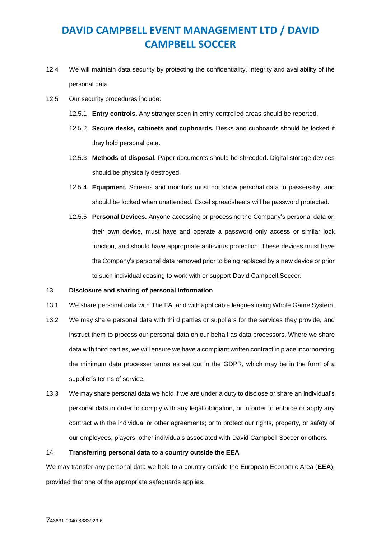- 12.4 We will maintain data security by protecting the confidentiality, integrity and availability of the personal data.
- 12.5 Our security procedures include:
	- 12.5.1 **Entry controls.** Any stranger seen in entry-controlled areas should be reported.
	- 12.5.2 **Secure desks, cabinets and cupboards.** Desks and cupboards should be locked if they hold personal data.
	- 12.5.3 **Methods of disposal.** Paper documents should be shredded. Digital storage devices should be physically destroyed.
	- 12.5.4 **Equipment.** Screens and monitors must not show personal data to passers-by, and should be locked when unattended. Excel spreadsheets will be password protected.
	- 12.5.5 **Personal Devices.** Anyone accessing or processing the Company's personal data on their own device, must have and operate a password only access or similar lock function, and should have appropriate anti-virus protection. These devices must have the Company's personal data removed prior to being replaced by a new device or prior to such individual ceasing to work with or support David Campbell Soccer.

### 13. **Disclosure and sharing of personal information**

- 13.1 We share personal data with The FA, and with applicable leagues using Whole Game System.
- 13.2 We may share personal data with third parties or suppliers for the services they provide, and instruct them to process our personal data on our behalf as data processors. Where we share data with third parties, we will ensure we have a compliant written contract in place incorporating the minimum data processer terms as set out in the GDPR, which may be in the form of a supplier's terms of service.
- 13.3 We may share personal data we hold if we are under a duty to disclose or share an individual's personal data in order to comply with any legal obligation, or in order to enforce or apply any contract with the individual or other agreements; or to protect our rights, property, or safety of our employees, players, other individuals associated with David Campbell Soccer or others.

### 14. **Transferring personal data to a country outside the EEA**

We may transfer any personal data we hold to a country outside the European Economic Area (**EEA**), provided that one of the appropriate safeguards applies.